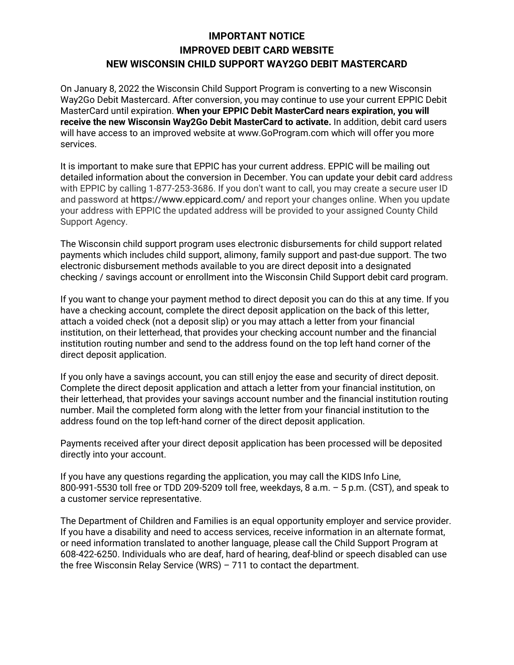## **IMPORTANT NOTICE IMPROVED DEBIT CARD WEBSITE NEW WISCONSIN CHILD SUPPORT WAY2GO DEBIT MASTERCARD**

On January 8, 2022 the Wisconsin Child Support Program is converting to a new Wisconsin Way2Go Debit Mastercard. After conversion, you may continue to use your current EPPIC Debit MasterCard until expiration. **When your EPPIC Debit MasterCard nears expiration, you will receive the new Wisconsin Way2Go Debit MasterCard to activate.** In addition, debit card users will have access to an improved website at www.GoProgram.com which will offer you more services.

It is important to make sure that EPPIC has your current address. EPPIC will be mailing out detailed information about the conversion in December. You can update your debit card address with EPPIC by calling 1-877-253-3686. If you don't want to call, you may create a secure user ID and password at https://www.eppicard.com/ and report your changes online. When you update your address with EPPIC the updated address will be provided to your assigned County Child Support Agency.

The Wisconsin child support program uses electronic disbursements for child support related payments which includes child support, alimony, family support and past-due support. The two electronic disbursement methods available to you are direct deposit into a designated checking / savings account or enrollment into the Wisconsin Child Support debit card program.

If you want to change your payment method to direct deposit you can do this at any time. If you have a checking account, complete the direct deposit application on the back of this letter, attach a voided check (not a deposit slip) or you may attach a letter from your financial institution, on their letterhead, that provides your checking account number and the financial institution routing number and send to the address found on the top left hand corner of the direct deposit application.

If you only have a savings account, you can still enjoy the ease and security of direct deposit. Complete the direct deposit application and attach a letter from your financial institution, on their letterhead, that provides your savings account number and the financial institution routing number. Mail the completed form along with the letter from your financial institution to the address found on the top left-hand corner of the direct deposit application.

Payments received after your direct deposit application has been processed will be deposited directly into your account.

If you have any questions regarding the application, you may call the KIDS Info Line, 800-991-5530 toll free or TDD 209-5209 toll free, weekdays, 8 a.m. – 5 p.m. (CST), and speak to a customer service representative.

The Department of Children and Families is an equal opportunity employer and service provider. If you have a disability and need to access services, receive information in an alternate format, or need information translated to another language, please call the Child Support Program at 608-422-6250. Individuals who are deaf, hard of hearing, deaf-blind or speech disabled can use the free Wisconsin Relay Service (WRS) – 711 to contact the department.